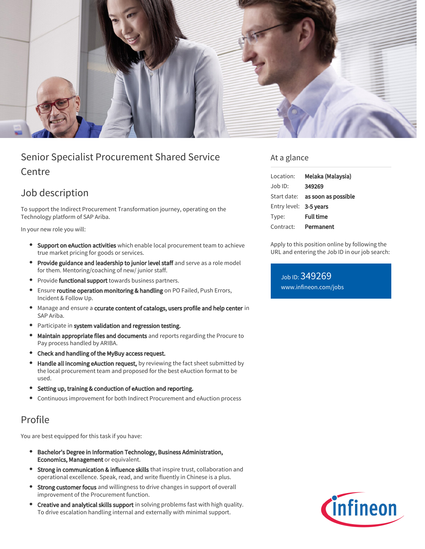

# Senior Specialist Procurement Shared Service **Centre**

## Job description

To support the Indirect Procurement Transformation journey, operating on the Technology platform of SAP Ariba.

In your new role you will:

- **Support on eAuction activities** which enable local procurement team to achieve true market pricing for goods or services.
- **Provide guidance and leadership to junior level staff** and serve as a role model for them. Mentoring/coaching of new/ junior staff.
- Provide functional support towards business partners.
- Ensure routine operation monitoring & handling on PO Failed, Push Errors,  $\bullet$ Incident & Follow Up.
- Manage and ensure a ccurate content of catalogs, users profile and help center in  $\bullet$ SAP Ariba.
- Participate in system validation and regression testing.
- $\bullet$ Maintain appropriate files and documents and reports regarding the Procure to Pay process handled by ARIBA.
- Check and handling of the MyBuy access request.
- Handle all incoming eAuction request, by reviewing the fact sheet submitted by  $\bullet$ the local procurement team and proposed for the best eAuction format to be used.
- Setting up, training & conduction of eAuction and reporting.
- Continuous improvement for both Indirect Procurement and eAuction process

### Profile

You are best equipped for this task if you have:

- **•** Bachelor's Degree in Information Technology, Business Administration, Economics, Management or equivalent.
- $\bullet$ Strong in communication & influence skills that inspire trust, collaboration and operational excellence. Speak, read, and write fluently in Chinese is a plus.
- Strong customer focus and willingness to drive changes in support of overall improvement of the Procurement function.
- Creative and analytical skills support in solving problems fast with high quality. To drive escalation handling internal and externally with minimal support.

#### At a glance

| Location:              | Melaka (Malaysia)                      |
|------------------------|----------------------------------------|
| Job ID:                | 349269                                 |
|                        | Start date: <b>as soon as possible</b> |
| Entry level: 3-5 years |                                        |
| Type:                  | <b>Full time</b>                       |
| Contract:              | Permanent                              |

Apply to this position online by following the URL and entering the Job ID in our job search:

Job ID: 349269 [www.infineon.com/jobs](https://www.infineon.com/jobs)